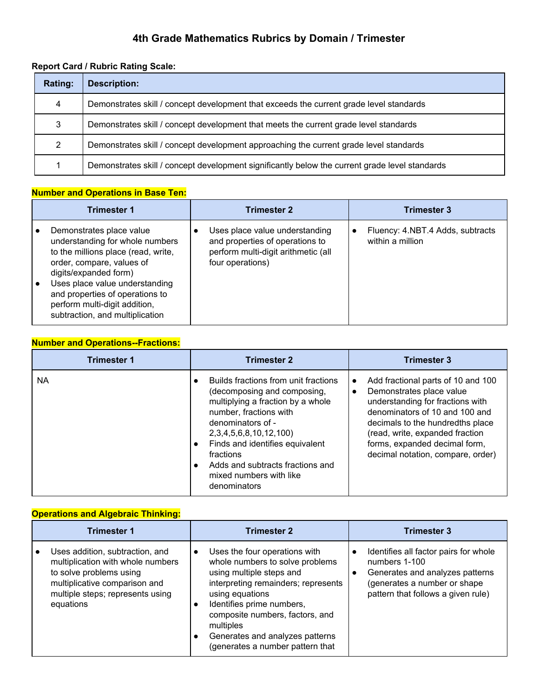# **4th Grade Mathematics Rubrics by Domain / Trimester**

## **Report Card / Rubric Rating Scale:**

| Rating: | Description:                                                                                   |
|---------|------------------------------------------------------------------------------------------------|
| 4       | Demonstrates skill / concept development that exceeds the current grade level standards        |
| 3       | Demonstrates skill / concept development that meets the current grade level standards          |
| 2       | Demonstrates skill / concept development approaching the current grade level standards         |
|         | Demonstrates skill / concept development significantly below the current grade level standards |

### **Number and Operations in Base Ten:**

| <b>Trimester 1</b>                                                                                                                                                                                                                                                                                | <b>Trimester 2</b>                                                                                                           | <b>Trimester 3</b>                                                |
|---------------------------------------------------------------------------------------------------------------------------------------------------------------------------------------------------------------------------------------------------------------------------------------------------|------------------------------------------------------------------------------------------------------------------------------|-------------------------------------------------------------------|
| Demonstrates place value<br>understanding for whole numbers<br>to the millions place (read, write,<br>order, compare, values of<br>digits/expanded form)<br>Uses place value understanding<br>and properties of operations to<br>perform multi-digit addition,<br>subtraction, and multiplication | Uses place value understanding<br>and properties of operations to<br>perform multi-digit arithmetic (all<br>four operations) | Fluency: 4.NBT.4 Adds, subtracts<br>$\bullet$<br>within a million |

## **Number and Operations--Fractions:**

| <b>Trimester 1</b> | <b>Trimester 2</b>                                                                                                                                                                                                                                                                                                       | <b>Trimester 3</b>                                                                                                                                                                                                                                                                             |
|--------------------|--------------------------------------------------------------------------------------------------------------------------------------------------------------------------------------------------------------------------------------------------------------------------------------------------------------------------|------------------------------------------------------------------------------------------------------------------------------------------------------------------------------------------------------------------------------------------------------------------------------------------------|
| NA.                | Builds fractions from unit fractions<br>(decomposing and composing,<br>multiplying a fraction by a whole<br>number, fractions with<br>denominators of -<br>2, 3, 4, 5, 6, 8, 10, 12, 100)<br>Finds and identifies equivalent<br>fractions<br>Adds and subtracts fractions and<br>mixed numbers with like<br>denominators | Add fractional parts of 10 and 100<br>$\bullet$<br>Demonstrates place value<br>understanding for fractions with<br>denominators of 10 and 100 and<br>decimals to the hundredths place<br>(read, write, expanded fraction<br>forms, expanded decimal form,<br>decimal notation, compare, order) |

### **Operations and Algebraic Thinking:**

| <b>Trimester 1</b>                                                                                                                                                                | <b>Trimester 2</b>                                                                                                                                                                                                                                                                                                      | <b>Trimester 3</b>                                                                                                                                              |
|-----------------------------------------------------------------------------------------------------------------------------------------------------------------------------------|-------------------------------------------------------------------------------------------------------------------------------------------------------------------------------------------------------------------------------------------------------------------------------------------------------------------------|-----------------------------------------------------------------------------------------------------------------------------------------------------------------|
| Uses addition, subtraction, and<br>multiplication with whole numbers<br>to solve problems using<br>multiplicative comparison and<br>multiple steps; represents using<br>equations | Uses the four operations with<br>$\bullet$<br>whole numbers to solve problems<br>using multiple steps and<br>interpreting remainders; represents<br>using equations<br>Identifies prime numbers,<br>composite numbers, factors, and<br>multiples<br>Generates and analyzes patterns<br>(generates a number pattern that | Identifies all factor pairs for whole<br>numbers 1-100<br>Generates and analyzes patterns<br>(generates a number or shape<br>pattern that follows a given rule) |